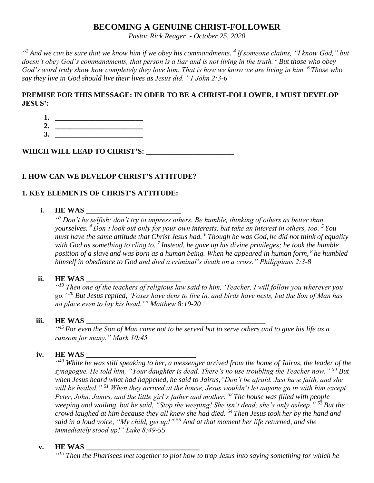# **BECOMING A GENUINE CHRIST-FOLLOWER**

*Pastor Rick Reager - October 25, 2020*

*" <sup>3</sup> And we can be sure that we know him if we obey his commandments. <sup>4</sup> If someone claims, "I know God," but doesn't obey God's commandments, that person is a liar and is not living in the truth. <sup>5</sup> But those who obey God's word truly show how completely they love him. That is how we know we are living in him. <sup>6</sup> Those who say they live in God should live their lives as Jesus did." 1 John 2:3-6*

# **PREMISE FOR THIS MESSAGE: IN ODER TO BE A CHRIST-FOLLOWER, I MUST DEVELOP JESUS':**

**1. \_\_\_\_\_\_\_\_\_\_\_\_\_\_\_\_\_\_\_\_\_\_\_\_ 2. \_\_\_\_\_\_\_\_\_\_\_\_\_\_\_\_\_\_\_\_\_\_\_\_ 3. \_\_\_\_\_\_\_\_\_\_\_\_\_\_\_\_\_\_\_\_\_\_\_\_**

**WHICH WILL LEAD TO CHRIST'S: \_\_\_\_\_\_\_\_\_\_\_\_\_\_\_\_\_\_\_\_\_\_\_\_** 

# **I. HOW CAN WE DEVELOP CHRIST'S ATTITUDE?**

# **1. KEY ELEMENTS OF CHRIST'S ATTITUDE:**

# **i. HE WAS \_\_\_\_\_\_\_\_\_\_\_\_\_\_\_\_\_\_\_\_\_\_\_\_\_\_**

*" <sup>3</sup> Don't be selfish; don't try to impress others. Be humble, thinking of others as better than yourselves. <sup>4</sup> Don't look out only for your own interests, but take an interest in others, too. <sup>5</sup> You must have the same attitude that Christ Jesus had. <sup>6</sup> Though he was God, he did not think of equality with God as something to cling to. <sup>7</sup> Instead, he gave up his divine privileges; he took the humble position of a slave and was born as a human being. When he appeared in human form, <sup>8</sup> he humbled himself in obedience to God and died a criminal's death on a cross." Philippians 2:3-8*

# **ii. HE WAS**

*" <sup>19</sup> Then one of the teachers of religious law said to him, 'Teacher, I will follow you wherever you go.' <sup>20</sup> But Jesus replied, 'Foxes have dens to live in, and birds have nests, but the Son of Man has no place even to lay his head.'" Matthew 8:19-20*

#### **iii. HE WAS \_\_\_\_\_\_\_\_\_\_\_\_\_\_\_\_\_\_\_\_\_\_\_\_\_\_\_\_\_\_\_\_\_\_\_\_\_\_\_\_\_\_\_\_\_\_\_\_\_**

<sup>445</sup> For even the Son of Man came not to be served but to serve others and to give his life as a *ransom for many." Mark 10:45*

### iv. **HE WAS**

<sup>"49</sup> While he was still speaking to her, a messenger arrived from the home of Jairus, the leader of the *synagogue. He told him, "Your daughter is dead. There's no use troubling the Teacher now." <sup>50</sup> But when Jesus heard what had happened, he said to Jairus,"Don't be afraid. Just have faith, and she will be healed." <sup>51</sup> When they arrived at the house, Jesus wouldn't let anyone go in with him except Peter, John, James, and the little girl's father and mother. <sup>52</sup> The house was filled with people weeping and wailing, but he said, "Stop the weeping! She isn't dead; she's only asleep." <sup>53</sup>But the crowd laughed at him because they all knew she had died. <sup>54</sup> Then Jesus took her by the hand and said in a loud voice, "My child, get up!" <sup>55</sup> And at that moment her life returned, and she immediately stood up!" Luke 8:49-55*

#### **v. HE WAS \_\_\_\_\_\_\_\_\_\_\_\_\_\_\_\_\_\_\_\_\_\_\_\_\_\_\_\_\_\_\_**

*" <sup>15</sup> Then the Pharisees met together to plot how to trap Jesus into saying something for which he*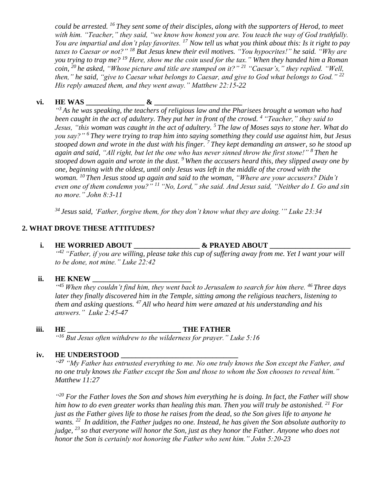*could be arrested. <sup>16</sup> They sent some of their disciples, along with the supporters of Herod, to meet with him. "Teacher," they said, "we know how honest you are. You teach the way of God truthfully. You are impartial and don't play favorites. <sup>17</sup> Now tell us what you think about this: Is it right to pay taxes to Caesar or not?" <sup>18</sup> But Jesus knew their evil motives. "You hypocrites!" he said. "Why are you trying to trap me? <sup>19</sup> Here, show me the coin used for the tax." When they handed him a Roman coin, <sup>20</sup> he asked, "Whose picture and title are stamped on it?" <sup>21</sup> "Caesar's," they replied. "Well, then," he said, "give to Caesar what belongs to Caesar, and give to God what belongs to God." <sup>22</sup> His reply amazed them, and they went away." Matthew 22:15-22*

## **vi. HE WAS \_\_\_\_\_\_\_\_\_\_\_\_\_\_\_\_ & \_\_\_\_\_\_\_\_\_\_\_\_\_\_\_\_\_\_\_\_\_\_\_\_**

<sup>43</sup> As he was speaking, the teachers of religious law and the Pharisees brought a woman who had *been caught in the act of adultery. They put her in front of the crowd. <sup>4</sup> "Teacher," they said to Jesus, "this woman was caught in the act of adultery. <sup>5</sup> The law of Moses says to stone her. What do you say?" <sup>6</sup> They were trying to trap him into saying something they could use against him, but Jesus stooped down and wrote in the dust with his finger. <sup>7</sup> They kept demanding an answer, so he stood up again and said, "All right, but let the one who has never sinned throw the first stone!" <sup>8</sup> Then he stooped down again and wrote in the dust. <sup>9</sup> When the accusers heard this, they slipped away one by one, beginning with the oldest, until only Jesus was left in the middle of the crowd with the woman. <sup>10</sup> Then Jesus stood up again and said to the woman, "Where are your accusers? Didn't even one of them condemn you?" <sup>11</sup> "No, Lord," she said. And Jesus said, "Neither do I. Go and sin no more." John 8:3-11*

*<sup>34</sup> Jesus said, 'Father, forgive them, for they don't know what they are doing.'" Luke 23:34*

## **2. WHAT DROVE THESE ATTITUDES?**

#### **i. HE WORRIED ABOUT \_\_\_\_\_\_\_\_\_\_\_\_\_\_\_\_\_\_ & PRAYED ABOUT \_\_\_\_\_\_\_\_\_\_\_\_\_\_\_\_\_\_\_\_\_\_**

*" <sup>42</sup> "Father, if you are willing, please take this cup of suffering away from me. Yet I want your will to be done, not mine." Luke 22:42*

# **ii. HE KNEW**

*" <sup>45</sup> When they couldn't find him, they went back to Jerusalem to search for him there. <sup>46</sup> Three days later they finally discovered him in the Temple, sitting among the religious teachers, listening to them and asking questions. <sup>47</sup> All who heard him were amazed at his understanding and his answers." Luke 2:45-47*

### **iii. HE \_\_\_\_\_\_\_\_\_\_\_\_\_\_\_\_\_\_\_\_\_\_\_\_\_\_\_\_\_\_\_ THE FATHER**

*" <sup>16</sup> But Jesus often withdrew to the wilderness for prayer." Luke 5:16*

#### iv. **HE UNDERSTOOD**

*" <sup>27</sup> "My Father has entrusted everything to me. No one truly knows the Son except the Father, and no one truly knows the Father except the Son and those to whom the Son chooses to reveal him." Matthew 11:27*

<sup>420</sup> For the Father loves the Son and shows him everything he is doing. In fact, the Father will show *him how to do even greater works than healing this man. Then you will truly be astonished. <sup>21</sup> For just as the Father gives life to those he raises from the dead, so the Son gives life to anyone he wants. <sup>22</sup> In addition, the Father judges no one. Instead, he has given the Son absolute authority to judge, <sup>23</sup> so that everyone will honor the Son, just as they honor the Father. Anyone who does not honor the Son is certainly not honoring the Father who sent him." John 5:20-23*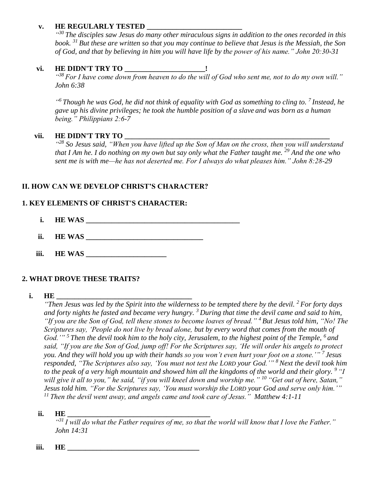# **v. HE REGULARLY TESTED \_\_\_\_\_\_\_\_\_\_\_\_\_\_\_\_\_\_\_\_\_\_\_\_\_\_**

*" <sup>30</sup> The disciples saw Jesus do many other miraculous signs in addition to the ones recorded in this book. <sup>31</sup> But these are written so that you may continue to believe that Jesus is the Messiah, the Son of God, and that by believing in him you will have life by the power of his name." John 20:30-31*

# **vi. HE DIDN'T TRY TO \_\_\_\_\_\_\_\_\_\_\_\_\_\_\_\_\_\_\_\_\_\_!**

*" <sup>38</sup> For I have come down from heaven to do the will of God who sent me, not to do my own will." John 6:38*

*" <sup>6</sup> Though he was God, he did not think of equality with God as something to cling to. <sup>7</sup> Instead, he gave up his divine privileges; he took the humble position of a slave and was born as a human being." Philippians 2:6-7*

## vii. **HE DIDN'T TRY TO**

*" <sup>28</sup> So Jesus said, "When you have lifted up the Son of Man on the cross, then you will understand that I Am he. I do nothing on my own but say only what the Father taught me. <sup>29</sup> And the one who sent me is with me—he has not deserted me. For I always do what pleases him." John 8:28-29*

# **II. HOW CAN WE DEVELOP CHRIST'S CHARACTER?**

## **1. KEY ELEMENTS OF CHRIST'S CHARACTER:**

- **i. HE WAS \_\_\_\_\_\_\_\_\_\_\_\_\_\_\_\_\_\_\_\_\_\_\_\_\_\_\_\_\_\_\_\_\_\_\_\_\_\_\_\_\_\_**
- **ii. HE WAS \_\_\_\_\_\_\_\_\_\_\_\_\_\_\_\_\_\_\_\_\_\_\_\_\_\_\_\_\_\_\_\_**
- **iii. HE WAS \_\_\_\_\_\_\_\_\_\_\_\_\_\_\_\_\_\_\_\_\_\_**

### **2. WHAT DROVE THESE TRAITS?**

#### **i. HE**

*"Then Jesus was led by the Spirit into the wilderness to be tempted there by the devil. <sup>2</sup> For forty days and forty nights he fasted and became very hungry. <sup>3</sup> During that time the devil came and said to him, "If you are the Son of God, tell these stones to become loaves of bread." <sup>4</sup> But Jesus told him, "No! The Scriptures say, 'People do not live by bread alone, but by every word that comes from the mouth of God.'" <sup>5</sup> Then the devil took him to the holy city, Jerusalem, to the highest point of the Temple, <sup>6</sup> and said, "If you are the Son of God, jump off! For the Scriptures say, 'He will order his angels to protect you. And they will hold you up with their hands so you won't even hurt your foot on a stone.'" <sup>7</sup> Jesus responded, "The Scriptures also say, 'You must not test the LORD your God.'" <sup>8</sup> Next the devil took him to the peak of a very high mountain and showed him all the kingdoms of the world and their glory. <sup>9</sup> "I will give it all to you," he said, "if you will kneel down and worship me." <sup>10</sup> "Get out of here, Satan," Jesus told him. "For the Scriptures say, 'You must worship the LORD your God and serve only him.'" <sup>11</sup> Then the devil went away, and angels came and took care of Jesus." Matthew 4:1-11*

#### **ii. HE \_\_\_\_\_\_\_\_\_\_\_\_\_\_\_\_\_\_\_\_\_\_\_\_\_\_\_\_\_\_\_\_\_\_\_\_\_\_\_**

*" <sup>31</sup>I will do what the Father requires of me, so that the world will know that I love the Father." John 14:31*

**iii. HE \_\_\_\_\_\_\_\_\_\_\_\_\_\_\_\_\_\_\_\_\_\_\_\_\_\_\_\_\_\_\_\_\_\_\_\_**